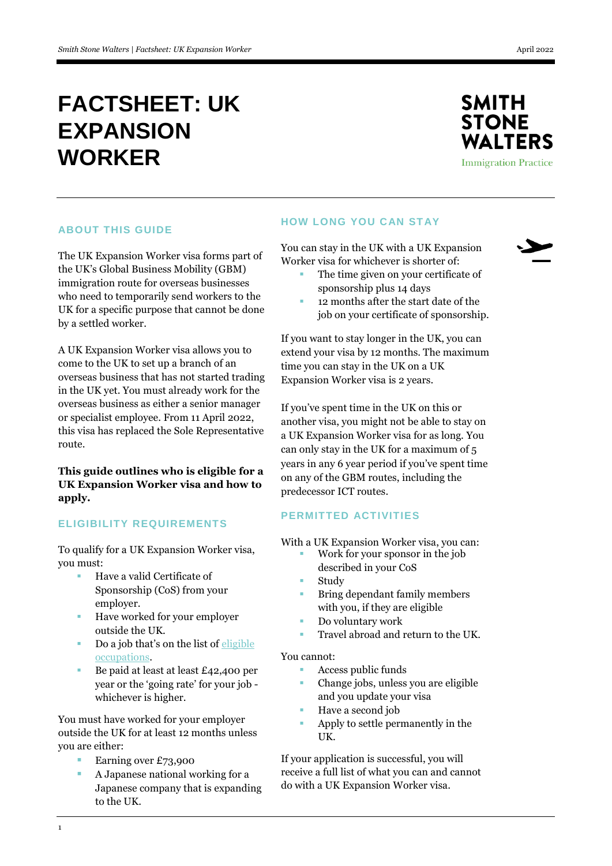# **FACTSHEET: UK EXPANSION WORKER**



### **ABOUT THIS GUIDE**

The UK Expansion Worker visa forms part of the UK's Global Business Mobility (GBM) immigration route for overseas businesses who need to temporarily send workers to the UK for a specific purpose that cannot be done by a settled worker.

A UK Expansion Worker visa allows you to come to the UK to set up a branch of an overseas business that has not started trading in the UK yet. You must already work for the overseas business as either a senior manager or specialist employee. From 11 April 2022, this visa has replaced the Sole Representative route.

# **This guide outlines who is eligible for a UK Expansion Worker visa and how to apply.**

# **ELIGIBILITY REQUIREMENTS**

To qualify for a UK Expansion Worker visa, you must:

- Have a valid Certificate of Sponsorship (CoS) from your employer.
- **Have worked for your employer** outside the UK.
- Do a job that's on the list of [eligible](https://www.gov.uk/government/publications/global-business-mobility-eligible-occupations-and-codes)  [occupations.](https://www.gov.uk/government/publications/global-business-mobility-eligible-occupations-and-codes)
- Be paid at least at least £42,400 per year or the 'going rate' for your job whichever is higher.

You must have worked for your employer outside the UK for at least 12 months unless you are either:

- Earning over £73,900
- A Japanese national working for a Japanese company that is expanding to the UK.

### **HOW LONG YOU CAN STAY**

You can stay in the UK with a UK Expansion Worker visa for whichever is shorter of:

- The time given on your certificate of sponsorship plus 14 days
- 12 months after the start date of the job on your certificate of sponsorship.

If you want to stay longer in the UK, you can extend your visa by 12 months. The maximum time you can stay in the UK on a UK Expansion Worker visa is 2 years.

If you've spent time in the UK on this or another visa, you might not be able to stay on a UK Expansion Worker visa for as long. You can only stay in the UK for a maximum of 5 years in any 6 year period if you've spent time on any of the GBM routes, including the predecessor ICT routes.

# **PERMITTED ACTIVITIES**

With a UK Expansion Worker visa, you can:

- Work for your sponsor in the job described in your CoS
- Study
- Bring dependant family members with you, if they are eligible
- Do voluntary work
- Travel abroad and return to the UK.

#### You cannot:

- Access public funds
- Change jobs, unless you are eligible and you update your visa
- Have a second job
- Apply to settle permanently in the UK.

If your application is successful, you will receive a full list of what you can and cannot do with a UK Expansion Worker visa.